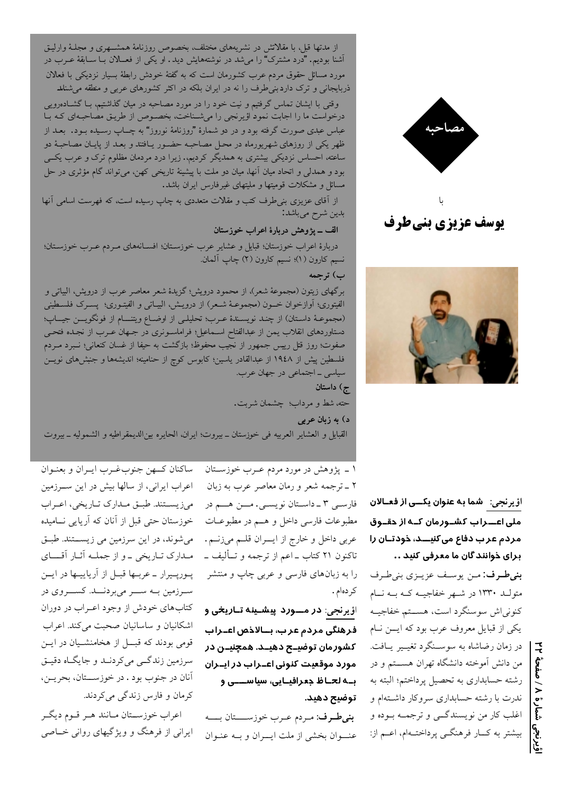بنىطرف: من يوسف عزيـزي بنىطـرف متولـد ۱۳۳۰ در شـهر خفاجيــه كــه بــه نــام كنونى اش سوسنگرد است، هســتم خفاجيــه یکی از قبایل معروف عرب بود که ایسن نام در زمان رضاشاه به سوسـنگرد تغیـیر یـافت. من دانش آموخته دانشگاه تهران هســـتم و در رشته حسابداری به تحصیل پرداختم؛ البته به ندرت با رشته حسابداری سروکار داشــتهام و اغلب کار من نویسندگــی و ترجمــه بــوده و بیشتر به کــار فرهنگــی پرداختــهام، اعــم از:

ا<u>ؤ یرنجی:</u> شما به عنوان یکــی از فعـالان ملی اعـــراب کشــورمان کــه از دقــوق مردم عر ب دفاع می کنیـــد، خودتــان را برای ذوانند گان ما معرفی کنید ..

مصاحبه





از مدتها قبل، با مقلاتش در نشریههای مختلف، بخصوص روزنامهٔ همشــهری و مجلـهٔ وارلیـق آشنا بودیم. "درد مشترک" را میشد در نوشتههایش دید. او یکی از فعــالان بــا ســابقهٔ عــرب در مورد مسائل حقوق مردم عرب کشورمان است که به گفتهٔ خودش رابطهٔ بسیار نزدیکی با فعالان ذربایجانی و ترک داردبنی طرف را نه در ایران بلکه در اکثر کشورهای عربی و منطقه میشنالد

وقتی با ایشان تماس گرفتیم و نیت خود را در مورد مصاحبه در میان گذاشتیم، بـا گشــادەرویی درخواست ما را اجابت نمود اؤیرنجی را میشـناخت، بخصـوص از طریـق مصاحبـهای کـه بـا عباس عبدی صورت گرفته بود و در دو شمارهٔ "روزنامهٔ نوروز" به چــاپ رسـیده بـود. بعـد از ظهر یکی از روزهای شهریورماه در محـل مصاحبـه حضـور یـافتند و بعـد از پایـان مصاحبـهٔ دو ساعته، احساس نزدیکی بیشتری به همدیگر کردیم. زیرا درد مردمان مظلوم ترک و عرب یکــی بود و همدلی و اتحاد میان آنها، میان دو ملت با پیشینهٔ تاریخی کهن، میتواند گام مؤثری در حل مسائل و مشکلات قومیتها و ملیتهای غیرفارس ایران باشد.

از آقای عزیزی بنی طرف کتب و مقلات متعددی به چاپ رسیده است، که فهرست اسامی آنها بدين شرح ميباشد:

### الف ــ پژوهش دربارهٔ اعراب خوزستان

دربارهٔ اعراب خوزستان؛ قبایل و عشایر عرب خوزستان؛ افسـانههای مـردم عـرب خوزسـتان؛ نسيم كارون (١)؛ نسيم كارون (٢) چاپ آلمان.

### ب) ترجمه

برگهای زیتون (مجموعهٔ شعر)، از محمود درویش؛ گزیدهٔ شعر معاصر عرب از درویش، البیاتی و الفيتورى؛ أوازخوان خـــون (مجموعــهٔ شــعر) از درويــش، البيــاتـي و الفيتــورى؛ پســرک فلســطيني (مجموعـهٔ داسـتان) از چنـد نويسـندهٔ عـرب؛ تحليلـي از اوضـاع ويتنـــام از فونگويـــن جيــاب؛ دستاوردهای انقلاب یمن از عبدالفتاح اسـماعیل؛ فراماسـونری در جـهان عــرب از نجـده فتحـی صفوت؛ روز قتل رییس جمهور از نجیب محفوظ؛ بازگشت به حیفا از غسان کنعانی؛ نــبرد مــردم فلسطین پیش از ۱۹٤۸ از عبدالقادر یاسین؛ کابوس کوچ از حنامینه؛ اندیشهها و جنبشهای نویــن سیاسی ــ اجتماعی در جهان عرب.

ج) داستان

حته، شط و مرداب؛ چشمان شربت.

### د) به زبان عربی

القبايل و العشاير العربيه في خوزستان ـ بيروت؛ ايران، الحايره بين الديمقراطيه و الشموليه ـ بيروت

۱ \_ پژوهش در مورد مردم عــرب خوزســتان ۲ ــ ترجمه شعر و رمان معاصر عرب به زبان فارســي ٣ ــ داســتان نويســي. مـــن هـــم در مطبوعات فارسی داخل و هــم در مطبوعــات عربي داخل و خارج از ايسران قلـم ميزنـم. تاکنون ۲۱ کتاب ــ اعم از ترجمه و تـــأليف ــ را به زبانهای فارسی و عربی چاپ و منتشر كردەام .

اؤیرنجی: **در مــورد پیشـینه تـاریخی و** فرهنگی مردم عرب٬ بــالاذص اعــراب .<br>کشورمان توضیــح دهیــد. هم<del>چ</del>نیــن در مورد موقعیت کنونی اعــراب در ایــران بــه لحــاظ جعـرافيــايى، سياســــى و توضيح دهيد.

بنىطرف: مردم عـرب خوزســــتان بــــه عنوان بخشى از ملت ايسران وبه عنوان

ساكنان كسهن جنوب غـرب ايـران و بعنـوان اعراب ایرانی، از سالها بیش در این ســرزمین میزیستند. طبق مدارک تاریخی، اعراب خوزستان حتی قبل از آنان که آریایی نــامیده میشوند، در این سرزمین می زیستند. طبق مـدارک تـاريخي ــ و از جملــه آثــار آقــــاي پورپـیرار ــ عربـها قبـل از آریاییـها در ایــن سرزمین بـه ســـر میبردنـــد. کســـروی در کتابهای خودش از وجود اعـراب در دوران اشکانیان و ساسانیان صحبت میکند. اعراب قومی بودند که قبــل از هخامنشــیان در ایــن سرزمین زندگــی میکردنــد و جایگــاه دقیــق أنان در جنوب بود . در خوزســـتان، بحريــن، كرمان و فارس زندگي ميكردند.

اعراب خوزســتان مـانند هـر قـوم ديگـر ایرانی از فرهنگ و ویژگیهای روانی خـاصی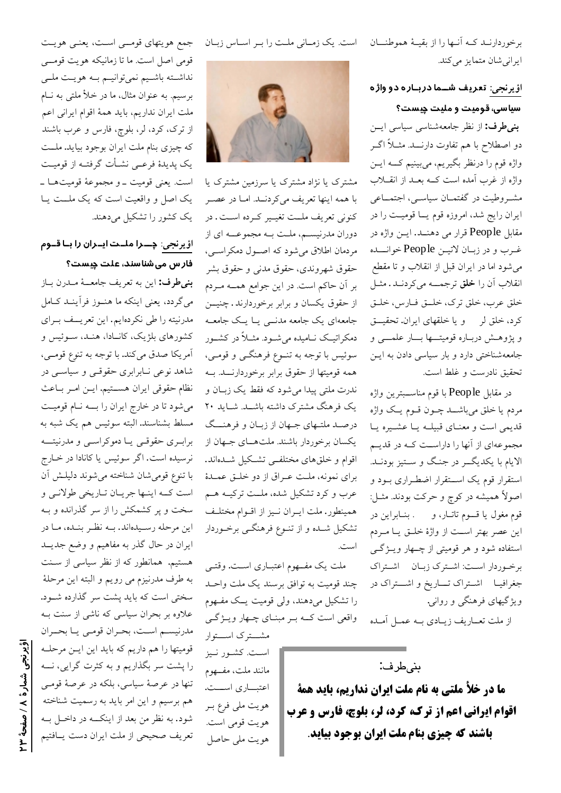برخوردارنـد كـه أنـها را از بقيـهٔ هموطنــان است. يك زمـاني ملـت را بـر اسـاس زبـان ایرانی شان متمایز می کند.

> اؤ یرنجی: تعریف شــما دربــاره دو واژه سیاسی، قومیت و ملیت چیست؟

بنی طرف: از نظر جامعهشناسی سیاسی ایسن دو اصطلاح با هم تفاوت دارنـــد. مثــلاً اگــر واژه قوم را درنظر بگیریم، میبینیم کــه ایــن واژه از غرب آمده است کــه بعــد از انقـــلاب مشـروطيت در گفتمـان سياسـي، اجتمـاعي ایران رایج شد، امروزه قوم یــا قومیــت را در مقابل People قرار می دهنــد. ایــن واژه در غـرب و در زبــان لاتيــن People خوانـــده می شود اما در ایران قبل از انقلاب و تا مقطع انقلاب آن را **خلق** ترجمــه مىكردنــد. مثــل خلق عرب، خلق ترك، خلق فارس، خلق کرد، خلق لر و یا خلقهای ایران. تحقیـــق و پژوهـش دربـاره قوميتـــها بـــار علمــــى و جامعهشناختی دارد و بار سیاسی دادن به ایـن تحقیق نادرست و غلط است.

در مقابل People با قوم مناســبترين واژه مردم يا خلق ميباشــد چــون قــوم يــک واژه قدیمی است و معنای قبیله یا عشیره یا مجموعهای از آنها را داراست کـه در قدیــم الایام با یکدیگـر در جنگ و سـتیز بودنـد. استقرار قوم یک استقرار اضطـراری بـود و اصولاً همیشه در کوچ و حرکت بودند. مثــل: قوم مغول یا قسوم تاتـار، و مسمع بنـابراین در این عصر بهتر است از واژهٔ خلـق یــا مــردم استفاده شود و هر قومیتی از چــهار ویــژگــی برخوردار است: اشترك زبان اشتراك جغرافیـا اشـتراک تـــاریخ و اشـــتراک در ویژگیهای فرهنگی و روانی.

از ملت تعــاريف زيــادي بــه عمــل آمــده

## بنى طرف:

**ما در خلأ ملتي به نام ملت ايران نداريم، بايد همة اقوام ایرانی اعم از ترک، کرد، لر، بلوچ، فارس و عرب باشند که چیزی بنام ملت ایران بوجود بیاید**.



مشترک یا نژاد مشترک یا سرزمین مشترک یا با همه اينها تعريف مي كردنــد. امــا در عصــر كنوني تعريف ملــت تغيــير كــرده اســت. در دوران مدرنیســم، ملــت بــه مجموعـــه ای از مردمان اطلاق میشود که اصول دمکراسی، حقوق شهروندي، حقوق مدني و حقوق بشر بر آن حاکم است. در این جوامع همـه مـردم از حقوق یکسان و برابر برخوردارند. چنیـــن جامعهای یک جامعه مدنسی یـا یـک جامعــه دمکراتیک نـامیده میشـود. مثــلاً در کشــور سوئيس با توجه به تنــوع فرهنگــي و قومــي، همه قومیتها از حقوق برابر برخوردارنـــد. بــه ندرت ملتي پيدا مي شود كه فقط يک زبــان و یک فرهنگ مشترک داشته باشـد. شـاید ۲۰ درصـد ملتـهاي جـهان از زبـان و فرهنـــگ یکسان برخوردار باشند. ملتهـای جـهان از اقوام و خلقهای مختلفــی تشــکیل شــدهاند. برای نمونه، ملت عـراق از دو خلـق عمـدهٔ عرب و کرد تشکیل شده، ملــت ترکیــه هــم همينطور. ملت ايـران نـيز از اقـوام مختلـف تشکیل شـده و از تنـوع فرهنگـی برخـوردار است.

ملت یک مفــهوم اعتبــاری اســت. وقتــی چند قومیت به توافق برسند یک ملت واحـد را تشکیل میدهند، ولی قومیت یـک مفـهوم واقعی است کــه بــر مبنــای چــهار ويــژگــی مشت ک استوار

است. کشـور نـيز مانند ملت، مفهوم اعتبـــاري اســـت. هويت ملي فرع بـر هويت قومي است. هويت ملي حاصل

جمع هويتهاى قومسى است، يعنـى هويـت قومی اصل است. ما تا زمانیکه هویت قومسی نداشته باشیم نمیتوانیم بـه هویـت ملـی برسیم. به عنوان مثال، ما در خلأ ملتی به نــام ملت ایران نداریم، باید همهٔ اقوام ایرانی اعم از ترک، کرد، لر، بلوچ، فارس و عرب باشند که چیزی بنام ملت ایران بوجود بیاید. ملــت یک پدیدهٔ فرعــی نشــأت گرفتــه از قومیــت است. يعني قوميت ـ و مجموعهٔ قوميتهـا ـ یک اصل و واقعیت است که یک ملـت یـا یک کشور را تشکیل میدهند.

# اؤ یرنجی: چـــرا ملــدت ایــران را بــا قــوم فار س می شناسند، علت چیست؟

بنى طرف: اين به تعريف جامعــهٔ مــدرن بــاز می گردد، یعنی اینکه ما هنوز فرآینـد کـامل مدرنیته را طی نکردهایم. این تعریــف بـرای کشورهای بلژیک، کانـادا، هنـد، سـوئیس و أمريكا صدق مي كند. با توجه به تنوع قومـي، شاهد نوعی نـابرابری حقوقـی و سیاسـی در نظام حقوقی ایران هســتیم. ایــن امــر بــاعث می شود تا در خارج ایران را به نام قومیت مسلط بشناسند. البته سوئیس هم یک شبه به برابـري حقوقـي يــا دموكراســي و مدرنيتـــه نرسیده است. اگر سوئیس یا کانادا در خـارج با تنوع قومى شان شناخته مى شوند دليلـش آن است کـه اینـها جریـان تـاریخی طولانـی و سخت و پر کشمکش را از سر گذرانده و بــه این مرحله رسـیدهاند. بــه نظـر بنــده، مـا در ایران در حال گذر به مفاهیم و وضع جدیــد هستیم. همانطور که از نظر سیاسی از سـنت به طرف مدرنیزم می رویم و البته این مرحلهٔ سختی است که باید پشت سر گذارده شـود. علاوه بر بحران سیاسی که ناشی از سنت بـه مدرنيسم است، بحران قومي يـا بحـران قومیتها را هم داریم که باید این ایـن مرحلــه را پشت سر بگذاریم و به کثرت گرایی، نـــه تنها در عرصهٔ سیاسی، بلکه در عرصهٔ قومـی هم برسیم و این امر باید به رسمیت شناخته شود. به نظر من بعد از اینکــه در داخــل بــه

تعریف صحیحی از ملت ایران دست یـافتیم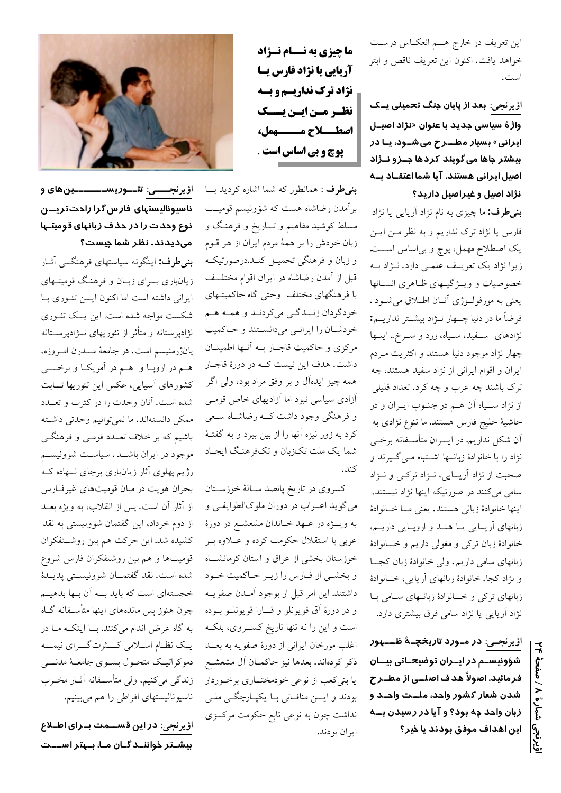این تعریف در خارج هــم انعکــاس درســت خواهد يافت. اكنون اين تعريف ناقص و ابتر است.

اؤ ِرنجی: بعد از پایان جنگ تحمیلی یــک واژهٔ سیاسی جدید با عنوان «نژاد اصیــل ایرانی» بسیار مطــرح میشــود، یـا در بیشتر جاها میگویند کردها جــزو نــژاد اصیل ایرانی هستند. آیا شما اعتقــاد بــه نژاد اصیل و غیراصیل دارید؟

**بنیطرف:** ما چیزی به نام نژاد آریای<sub>ی</sub> یا نژاد فارس یا نژاد ترک نداریم و به نظر مـن ایـن یک اصطلاح مهمل، پوچ و بی|ساس اســت زیرا نژاد یک تعریـف علمـی دارد. نـژاد بـه خصوصیات و ویـــژگیــهای ظــاهری انســانها يعني به مورفولـوژي أنــان اطــلاق ميشــود . فرضاً ما در دنیا چــهار نــژاد بیشــتر نداریــم: نژادهای سه نید، سیاه، زرد و سرخ.. اینها چهار نژاد موجود دنیا هستند و اکثریت مـردم ایران و اقوام ایرانی از نژاد سفید هستند، چه ترک باشند چه عرب و چه کرد. تعداد قلیلی از نژاد ســياه آن هــم در جنــوب ايــران و در حاشیهٔ خلیج فارس هستند. ما تنوع نژادی به ان شکل نداریم. در ایسران متأســفانه برخــي نژاد را با خانوادهٔ زبانــها اشــتباه مــي گــيرند و صحبت از نژاد آریـایی، نـژاد ترکـی و نـژاد سامی میکنند در صورتیکه اینها نژاد نیستند، اينها خانوادة زباني هستند. يعني مــا خــانوادة زبانهای آریـایی یـا هنـد و اروپـایی داریـم، خانوادهٔ زبان ترکی و مغولی داریم و خسانوادهٔ زبانهای سامی داریم. ولی خانوادهٔ زبان کجــا و نژاد کجا. خانوادهٔ زبانهای آریایی، خــانوادهٔ زبانهای ترکی و خـانوادهٔ زبانـهای سـامی بـا نژاد آریایی یا نژاد سامی فرق بیشتری دارد.

ا<u>ؤ يرنجــ</u>ي: در مــورد تاري<del>خ</del>چــهٔ ظــــهور شؤونیسـم در ایـران توضیحـاتی بیــان فرمائید. اصولاً هد ف اصلــی از مطــر ح شدن شعار کشور واحد، ملــت واحـد و زبان واحد چه بود؟ و آیا در رسیدن بــه این اهداف موفق بودند یا خیر؟

ما چیزی به نــام نــژاد آریایی یا نژاد فارس یـا **نژاد ترک نداریسم و بسه** نظر مین ایسن یسسک اصطــاح مـــومل، پوچ و بي اساس است .

**بنیطرف :** همانطور که شما اشاره کردید بــا برآمدن رضاشاه هست که شؤونیسم قومیــت مسلط کوشید مفاهیم و تـــاریخ و فرهنـگ و زبان خودش را بر همهٔ مردم ایران از هر قـوم و زبان و فرهنگی تحمیـل کنــد.درصورتیکــه قبل از آمدن رضاشاه در ایران اقوام مختلــف با فرهنگهای مختلف وحتی گاه حاکمیتـهای خودگردان زنــدگـي ميكردنــد و همــه هــم خودشان را ايرانى مىدانستند وحاكميت مرکزی و حاکمیت قاجــار بــه آنــها اطمینــان داشت. هدف این نیست کــه در دورهٔ قاجــار همه چیز ایدهآل و بر وفق مراد بود، ولی اگر أزادى سياسى نبود اما أزاديهاى خاص قومـى و فرهنگی وجود داشت کــه رضاشــاه سـعی کرد به زور نیزه آنها را از بین ببرد و به گفتـهٔ شما یک ملت تکزبان و تکفرهنگ ایجـاد كند.

كسروي در تاريخ پانصد سـالهٔ خوزســتان می گوید اعــراب در دوران ملوکالطوایفــی و به ويــــژه در عـــهد خـــاندان مشعشــع در دورهٔ عربی با استقلال حکومت کرده و عــلاوه بــر خوزستان بخشى از عراق و استان كرمانشــاه و بخشـي از فـارس را زيـر حـاكميت خـود داشتند. این امر قبل از بوجود آمـدن صفویــه و در دورهٔ آق قويونلو و قـارا قويونلـو بـوده است و این را نه تنها تاریخ کســـروی، بلکــه اغلب مورخان ايراني از دورهٔ صفويه به بعــد ذکر کردهاند. بعدها نیز حاکمـان آل مشعشـع یا بنیکعب از نوعی خودمختــاری برخــوردار بودند و ايسن منافاتي بـا يكپـارچگـي ملـي نداشت چون به نوعی تابع حکومت مرکــزی ايران بودند.



اؤ <u>برنجـــــی:</u> تئـــوریســـــــــینهای و ناسیونالیستهای فارس گرا راحت تریـــن نوع ودد ت را در دذ ف زبانهای قومیتـها مىدىدند. نظر شما چىست؟

**بنیطرف:** اینگونه سیاستهای فرهنگــی آثـار زیانباری بسرای زبان و فرهنگ قومیتهای ایرانی داشته است اما اکنون ایسن تئوری ب شکست مواجه شده است. این پــک تئــوری نژادپرستانه و متأثر از تئوریهای نــژادپرســتانه پانژرمنیسم است. در جامعهٔ مـــدرن امــروزه، هم در اروپا و هم در آمریکا و برخسی کشورهای آسیایی، عکس این تئوریها ثـــابت شده است. آنان وحدت را در کثرت و تعــدد ممكن دانستهاند. ما نميتوانيم وحدتي داشته باشیم که بر خلاف تعــدد قومــي و فرهنگــي موجود در ایران باشــد. سیاسـت شوونیسـم رژیم پهلوی آثار زیانباری برجای نــهاده کــه بحران هويت در ميان قوميتهاى غيرفارس از آثار آن است. پس از انقلاب، به ویژه بعــد از دوم خرداد، این گفتمان شوونیستی به نقد كشيده شد. اين حركت هم بين روشـنفكران قومیتها و هم بین روشنفکران فارس شروع شده است. نقد گفتمــان شوونيســتي پديــدۀ خجستهای است که باید بــه آن بـها بدهیــم چون هنوز پس ماندههای اینها متأســفانه گــاه به گاه عرض اندام میکنند. بــا اینکــه مــا در یـک نظـام اســلامي کـــثرت گـــراي نيمـــه دموكراتيك متحـول بسـوى جامعــهٔ مدنــــي زندگی میکنیم، ولی متأسـفانه آثـار مخـرب ناسیونالیستهای افراطی را هم میبینیم..

اؤ یرنجی: در این قســمت بــرای اطــلاع بیشـتر ذواننـدگـان مـا، بـهتر اســـت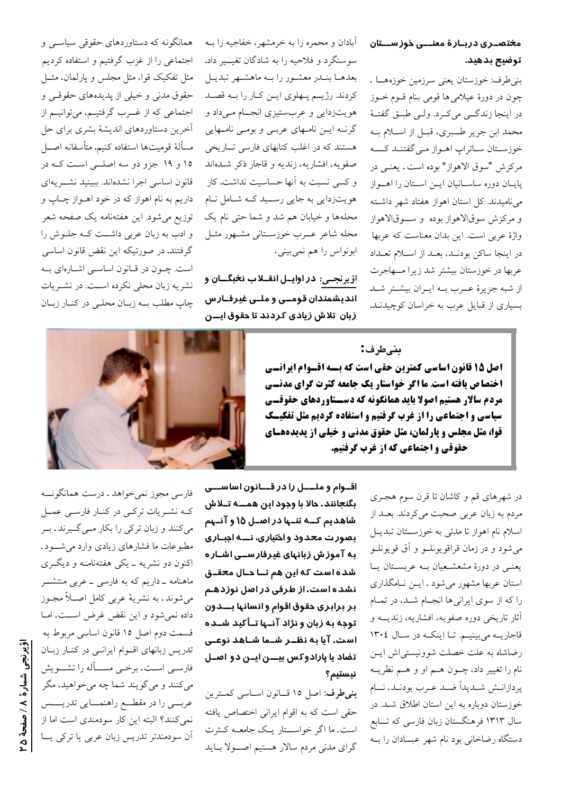# مختصـری دربـارۀ معنـــی ذوز ســـتان توضيح بدهيد.

بني طرف: خوزستان يعني سرزمين خوزههــا . چون در دورهٔ عیلام<sub>ی</sub>ها قومی بنام قــوم خــوز در اینجا زندگــی میکـرد. ولــی طبــق گفتــهٔ محمد ابن جرير طــبري، قبـل از اسـلام بــه خوزستان ساتراپ اهـواز مـي گفتنـد كــــه مركزش "سوق الاهواز" بوده است. يعنــي در پایان دوره ساسانیان ایـن اسـتان را اهـواز می نامیدند. کل استان اهواز هفتاد شهر داشته و مرکزش سوقالاهواز بوده و سوقالاهواز واژهٔ عربی است. این بدان معناست که عربها در اينجا ساكن بودنـد. بعـد از اســلام تعـداد عربها در خوزستان بيشتر شد زيرا مهاجرت از شبه جزیرهٔ عـرب بـه ایـران بیشـتر شـد بسیاری از قبایل عرب به خراسان کوچیدنـد.

آبادان و محمره را به خرمشهر، خفاجیه را بـه سوسنگرد و فلاحیه را به شادگان تغیــیر داد. بعدهـا بنـدر معشـور را بـه ماهشـهر تبديـل کردند. رژیــم پــهلوی ایــن کـار را بــه قصــد هویتزدایی و عربستیزی انجــام مــیداد و گرنــه ايــن نامــهای عربــی و بومــی نامــهایی هستند که در اغلب کتابهای فارسی تـاریخی صفویه، افشاریه، زندیه و قاجار ذکر شـدهاند و کسی نسبت به اَنها حساسیت نداشت. کار هویتزدایی به جایی رســید کــه شــامل نــام محلهها و خیابان هم شد و شما حتی نام یک محله شاعر عسرب خوزسـتاني مشـهور مثـل ابونواس را هم نمي بيني.

ا<u>ؤ يرنجــي</u>: در اوايــل انقــلاب ن<del>خ</del>بگــان و اندیشمندان قومــی و ملــی غیرفــار س زبان تلاش زیادی کردند تا دقوق ایـــن

بنىطرف:

اصل ۱۵ قانون اساسی کمترین حقی است که بسـه اقـوام ایرانـای **اختصاص یافته است ما اگر خواستار یک جامعه کثرت گرای مدنــی** مردم سالار هستیم اصولا باید همانگونه که دســتاوردهای حقوقــی سیاسی و اجتماعی را از غرب گرفتیم و استفاده کردیم مثل تفکیــک قوا، مثل مجلس و پارلمان، مثل حقوق مدنی و خیلی از پدیدههـای حقوقی و اجتماعی که از غرب گرفتیم.



اقــوام و ملــــل را در قـــانون اساســـی بگنجانند. حالا با وجود این همـــه تــلاش شاهدیم کــه تنــها در اصــل ۱۵ و آنــهم بصورت محدود واختیاری، نـــه اجبــاری به آموزش زبانهای غیرفارســی۱شـاره شده است که این هم تــا دـال محقــق نشده است. از طرفی در اصل نوزدهـم بر برابری حقوق اقوام و انسانها بـــدون توجه به زبان و نژاد آنـها تـأكيد شـده است. آیا به نظــر شــما شــاهد نوعــی تضاد یا پارادوکس بیـــن ایــن دو اصــل نيستيم؟

بنی طرف: اصل ١٥ قسانون اساسی كمترين حقی است که به اقوام ایرانی اختصاص یافته است. ما اگر خواســتار یـک جامعــه کــثرت گرای مدنی مردم سالار هستیم اصولا باید

همانگونه که دستاوردهای حقوقی سیاســی و اجتماعی را از غرب گرفتیم و استفاده کردیم مثل تفکیک قوا، مثل مجلس و پارلمان، مثــل حقوق مدنی و خیلی از پدیدههای حقوقــی و اجتماعی که از غــرب گرفتیــم، میتوانیــم از أخرين دستاوردهاي انديشهٔ بشري براي حل مسألهٔ قومیتها استفاده کنیم. متأسفانه اصـــل ۱۵ و ۱۹ جزو دو سه اصلــی اسـت کـه در قانون اساسی اجرا نشدهاند. ببینید نشـــریهای داريم به نام اهواز كه در خود اهــواز چــاپ و توزیع میشود. این هفتهنامه یک صفحه شعر و ادب به زبان عربی داشــت کــه جلــوش را گرفتند. در صورتیکه این نقض قانون اساسی است. چــون در قــانون اساســی اشــارهای بــه نشریه زبان محلی نکرده است. در نشـریات چاپ مطلب بــه زبـان محلــي در كنـار زبـان



فارسی مجوز نمیخواهد . درست همانگونــه کـه نشـريات ترکـى در کنـار فارسـى عمـل میکنند و زبان ترکی را بکار مـی گـیرند . بـر مطبوعات ما فشارهای زیادی وارد می شـود. اکنون دو نشریه ـ یکی هفتهنامـه و دیگـری ماهنامه ـ داریم که به فارسی ـ عربی منتشـــر میشوند. به نشریهٔ عربی کامل اصــلاً مجـوز داده نمیشود و این نقض غرض است. امـا قسمت دوم اصل ١٥ قانون اساسي مربوط به تدریس زبانهای اقوام ایرانمی در کنار زبان فارســي اســت. برخــي مســـأله را تشـــويش مي كنند و مي گويند شما چه ميخواهيد، مگر عربـــي را در مقطـــع راهنمـــايي تدريـــــس نمیکنند؟ البته این کار سودمندی است اما از آن سودمندتر تدریس زبان عربی یا ترکی یــا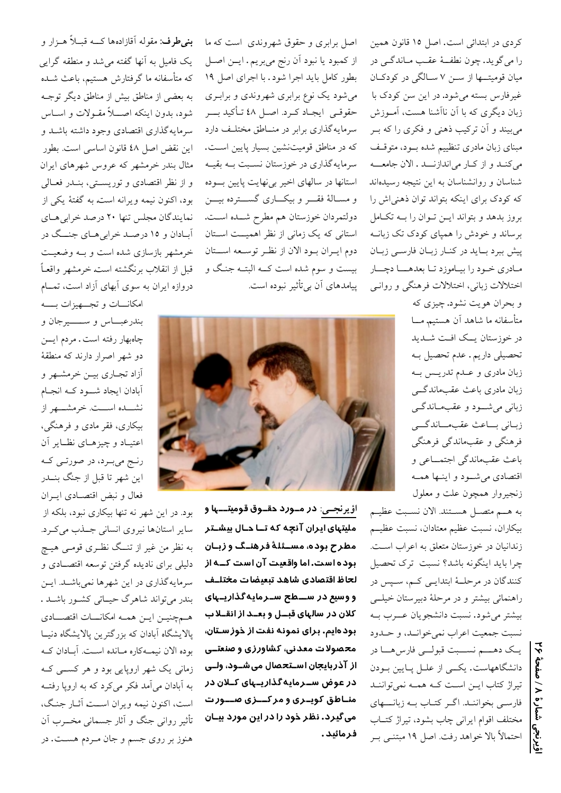كردي در ابتدائي است. اصل ١٥ قانون همين را مي گويد. چون نطفــهٔ عقـب مــاندگــي در میان قومیتها از سـن ۷ سـالگی در کودکـان غیرفارس بسته میشود. در این سن کودک با زبان دیگری که با آن ناآشنا هست، آموزش می بیند و أن ترکیب ذهنی و فکری را که بـر مبنای زبان مادری تنظییم شده بود، متوقف می کنـد و از کـار می اندازنــد . الان جامعـــه شناسان و روانشناسان به این نتیجه رسیدهاند که کودک برای اینکه بتواند توان ذهنی اش را بروز بدهد و بتواند ايـن تـوان را بــه تكـامل برساند و خودش را همیای کودک تک زبانــه پیش ببرد باید در کنار زبان فارسی زبان مادري خود را بياموزد تا بعدهــا دچــار اختلالات زباني، اختلالات فرهنگي و روانبي

> و بحران هويت نشود. چيزي كه متأسفانه ما شاهد آن هستیم مــا در خوزستان یــک افـت شــدید تحصیلی داریم. عدم تحصیل بـه زبان مادری و عــدم تدریــس بــه زبان مادري باعث عقبماندگے زبانی میشود و عقبماندگی زباني بساعث عقبهساندگسي فرهنگی و عقبماندگی فرهنگی باعث عقبماندگی اجتمــاعی و اقتصادي مي شود و اينـها همـه زنجيروار همچون علت و معلول

به هــم متصــل هســتند. الان نســبت عظيــم بيكاران، نسبت عظيم معتادان، نسبت عظيـم زندانیان در خوزستان متعلق به اعراب اسـت. چرا بايد اينگونه باشد؟ نسبت ترك تحصيل كنندگان در مرحلــهٔ ابتدايــي كــم، ســيس در راهنمائي بيشتر و در مرحلهٔ دبيرستان خيلــي بيشتر مي شود. نسبت دانشجويان عــرب بـه نسبت جمعيت اعراب نمي خوانسد، و حسدود یک دہـــم نســـبت قبولـــی فارس هـــا در دانشگاههاست. یکسی از علــل پــایین بــودن تیراژ کتاب ایـن اسـت کـه همـه نمیتواننـد فارسمي بخواننـد. اگـر كتـاب بـه زبانـــهاي مختلف اقوام ايراني چاب بشود، تيراژ كتـاب احتمالاً بالا خواهد رفت. اصل ۱۹ مبتنــی بــر

اصل برابری و حقوق شهروندی است که ما از كمبود يا نبود آن رنج ميبريم. ايــن اصــل بطور كامل بايد اجرا شود. با اجراى اصل ١٩ می شود یک نوع برابری شهروندی و برابری حقوقـي ايجـاد كـرد اصـل ٤٨ تـأكيد بـــر سرمایهگذاری برابر در منـاطق مختلـف دارد که در مناطق قومیتنشین بسیار پایین است. سرمایهگذاری در خوزستان نسـبت بــه بقیــه استانها در سالهای اخیر بیفهایت پایین بسوده و مسـالهٔ فقـــر و بیکـــاری گســـترده بیـــن دولتمردان خوزستان هم مطرح شــده اسـت. استانی که یک زمانی از نظر اهمیــت اســتان دوم ايـران بـود الان از نظـر توسـعه اســتان بیست و سوم شده است کــه البتــه جنـگ و پیامدهای آن بیتأثیر نبوده است.



اؤیرنجــی: در مـورد دقــوق قومیتـــها و ملیتہای ایران آنچه که تــا دـال بیشــتر مطرح بوده، مســئلهٔ فرهنــگ و زبــان بوده است. اما واقعیت آن است کــه از لحاظ اقتصادي شاهد تبعيضات مختلــف و وسیع در ســـطح ســرمایهگذاریــهای کلان در سالهای قبــل و بعــد از انقــلا ب بود هایم. برای نمونه نفت از خوز سـتان، محصولات معدنی، کشاورزی و صنعتــی از آذربایجان اسـتحصال میشـود، ولـی در عوض ســرمایهگذاریــهای کــلان در منـاطق کویــری و مرکـــزی صـــور ت می گیرد. نظر خود را در این مورد بیـان فرمائيد.

**بنیطرف:** مقوله اَقازادهها کـــه قبــلاً هــزار و یک فامیل به آنها گفته میشد و منطقه گرایی که متأسفانه ما گرفتارش هستیم، باعث شـده به بعضی از مناطق بیش از مناطق دیگر توجـه شود، بدون اینکه اصـــلاً مقــولات و اســاس سرمایهگذاری اقتصادی وجود داشته باشـد و این نقض اصل ٤٨ قانون اساسی است. بطور مثال بندر خرمشهر که عروس شهرهای ایران و از نظر اقتصادی و توریستی، بنــدر فعــالی بود، اکنون نیمه ویرانه است. به گفتهٔ یکی از نمایندگان مجلس تنها ۲۰ درصد خرابی هـای آبادان و ۱۵ درصـد خرابی هـای جنـــگ در خرمشهر بازسازی شده است و بـه وضعیـت قبل از انقلاب برنگشته است خرمشهر واقعـاً دروازه ایران به سوی آبهای آزاد است، تمــام

امكانـــات و تجــــهيزات بـــــه بندرعبـــاس و ســـــــيرجان و چاهبهار رفته است . مردم ایـــن دو شهر اصرار دارند که منطقهٔ آزاد تجـاري بيــن خرمشــهر و آبادان ايجاد شسود كــه انجــام نشـــده اســـت. خرمشــــهر از بیکاری، فقر مادی و فرهنگی، اعتيـاد و چيزهـاي نظـاير آن رنج ميبرد، در صورتـي کـه این شهر تا قبل از جنگ بنــدر فعال و نبض اقتصـادی ایــران

بود. در این شهر نه تنها بیکاری نبود، بلکه از سایر استانها نیروی انسانی جلذب میکرد. به نظر من غیر از تنــگ نظــری قومــی هیــچ دلیلی برای نادیده گرفتن توسعه اقتصـادی و سرمایهگذاری در این شهرها نمیباشـد. ایـن بندر میتواند شاهرگ حیماتی کشور باشـد . همجنيـن ايـن همـه امكانـــات اقتصـــادي پالایشگاه آبادان که بزرگترین پالایشگاه دنیـا بوده الان نیمـهکاره مـانده اسـت. آبـادان کـه زمانی یک شهر اروپایی بود و هر کســـی کــه به آبادان می آمد فکر می کرد که به اروپا رفتــه است، اکنون نیمه ویران اســت آثــار جنـگ، ۔<br>تأثیر روانی جنگ و آثار جسمانی مخـــرب آن هنوز بر روي جسم و جان مـردم هسـت. در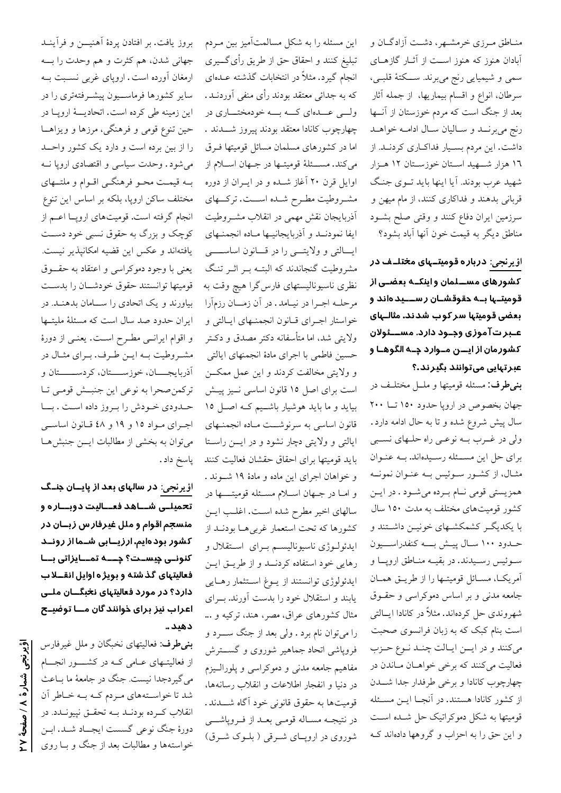منـاطق مـرزي خرمشـهر، دشـت آزادگـان و آبادان هنوز که هنوز اسـت از آثــار گازهــای سمي و شيميايي رنج مي برند. ســـكتهٔ قلبــي، سرطان، انواع و اقسام بیماریها، از جمله آثار بعد از جنگ است که مردم خوزستان از آنــها رنج میبرنــد و سـالیان سـال ادامــه خواهــد داشت. این مردم بسـیار فداکـاری کردنـد. از ۱٦ هزار شـــهید اســتان خوزســتان ۱۲ هــزار شهید عرب بودند. آیا اینها باید تـوی جنگ قربانی بدهند و فداکاری کنند، از مام میهن و سرزمین ایران دفاع کنند و وقتی صلح بشـود مناطق ديگر به قيمت خون آنها آباد بشود؟

ا<u>ؤیرنجی:</u> درباره قومیتـهای م<del>خ</del>تلـف در کشورهای مســلمان و اینکــه بعضــی از قومیتـها بــه حقوقشـان ر ســـید هاند و بعضی قومیتها سر کوب شدند. مثالـهای عـبر تآموزی وجـود دارد. مســئولان کشور مان از ایـــن مــوارد چــه الگوهــا و عبرتهایی میتوانند بگیرند.؟

بنىطرف: مسئله قوميتها و ملــل مختلـف در جهان بخصوص در اروپا حدود ۱۵۰ تــا ۲۰۰ سال پیش شروع شده و تا به حال ادامه دارد. ولي در غــرب بــه نوعــي راه حلــهاي نســبي برای حل این مسئله رسیدهاند. به عنوان مثـال، از كشـور سـوئيس بـه عنـوان نمونــه همزیستی قومی نــام بــرده میشــود . در ایــن کشور قومیتهای مختلف به مدت ١٥٠ سال با یکدیگـر کشمکشـهای خونیـن داشـتند و حـدود ١٠٠ سـال پيـش بــــه كنفدراســـيون سوئیس رسـیدند. در بقیــه منــاطق اروپــا و آمريكـا، مسـائل قوميتـها را از طريـق همـان جامعه مدنی و بر اساس دموکراسی و حقـوق شهروندی حل کردهاند. مثلاً در کانادا ایسالتی است بنام کبک که به زبان فرانسوی صحبت می کنند و در ایمن ایالت چند نوع حزب فعالیت میکنند که برخی خواهـان مـاندن در چهارچوب كانادا و برخى طرفدار جدا شــدن از کشور کانادا هستند. در آنجـا ايــن مسـئله قومیتها به شکل دموکراتیک حل شـده اسـت و این حق را به احزاب و گروهها دادهاند ک

این مسئله را به شکل مسالمتآمیز بین مـردم تبليغ كنند و احقاق حق از طريق رأى گـــيرى انجام گیرد. مثلاً در انتخابات گذشته عـدهای که به جدائی معتقد بودند رأی منفی آوردنــد . ولسي عــدهاي كـــه بـــه خودمختــــاري در چهارچوب كانادا معتقد بودند پيروز شــــدند . اما در کشورهای مسلمان مسائل قومیتها فـرق میکند. مســـئلهٔ قومیتــها در جــهان اســـلام از اوایل قرن ۲۰ آغاز شـده و در ایــران از دوره مشـروطيت مطـرح شـده اســـت. تركـــهاي أذربايجان نقش مهمى در انقلاب مشــروطيت ايفا نمودنــد و آذربايجانيــها مــاده انجمنــهاي ايسالتي و ولايتسي را در قسانون اساسسسي مشروطیت گنجاندند که البتـه بـر اثـر تنـگ نظری ناسیونالیستهای فارس گرا هیچ وقت به مرحلـه اجـرا در نيــامد . در أن زمـــان رزمأرا خواستار اجراي قـانون انجمنـهاي ايـالتي و ولايتي شد، اما متأسفانه دكتر مصدق و دكـتر حسين فاطمى با اجراي مادهٔ انجمنهاي ايالتي و ولايتي مخالفت كردند و اين عمل ممكــن است برای اصل ۱۵ قانون اساسی نـیز پیـش بیاید و ما باید هوشیار باشـیم کـه اصـل ١٥ قانون اساسی به سرنوشــت مـاده انجمنـهای ایالتی و ولایتی دچار نشود و در ایـــن راســتا بايد قوميتها براي احقاق حقشان فعاليت كنند و خواهان اجرای این ماده و مادهٔ ۱۹ شـوند . و امــا در جــهان اســـلام مســئله قوميتـــــها در سالهای اخیر مطرح شده است. اغلب این كشورها كه تحت استعمار غربيهما بودنــد از ايدئولـوژي ناسيوناليسـم بـراي اسـتقلال و رهایی خود استفاده کردنــد و از طریــق ایــن ايدئولوژي توانستند از يوغ استثمار رهايي یابند و استقلال خود را بدست آورند. بــرای مثال کشورهای عراق، مصر، هند، ترکیه و … را مي توان نام برد . ولي بعد از جنگ ســــرد و فروپاشی اتحاد جماهیر شوروی و گســترش مفاهیم جامعه مدنی و دموکراسی و پلورالـیزم در دنیا و انفجار اطلاعات و انقلاب رسانهها، قوميتها به حقوق قانوني خود آگاه شـــدند. در نتیجـه مسـاله قومـی بعــد از فــروپاشـــی شوروی در اروپای شرقی (بلوک شرق)

بروز يافت. بر افتادن پردهٔ آهنيـــن و فرآينــد جهانی شدن، هم کثرت و هم وحدت را بـــه ارمغان آورده است. اروپای غربی نسـبت بــه سایر کشورها فرماســیون پیشــرفتهتری را در این زمینه طی کرده است. اتحادیـــهٔ اروپــا در حین تنوع قومی و فرهنگی، مرزها و ویزاهــا را از بین برده است و دارد یک کشور واحــد می شود. وحدت سیاسی و اقتصادی اروپا نــه بــه قیمــت محــو فرهنگــی اقــوام و ملتــهای مختلف ساکن اروپا، بلکه بر اساس این تنوع انجام گرفته است. قومیتهای اروپــا اعــم از کوچک و بزرگ به حقوق نسبی خود دســت یافتهاند و عکس این قضیه امکانپذیر نیست. یعنی با وجود دموکراسی و اعتقاد به حقـوق قوميتها توانستند حقوق خودشـان را بدسـت بیاورند و یک اتحادی را ســـامان بدهنــد. در ایران حدود صد سال است که مسئلهٔ ملیتــها و اقوام ایرانسی مطـرح اسـت. یعنـی از دورهٔ مشـروطيت بـه ايـن طـرف. بـراي مثـال در آذربايجـــان، خوزســــتان، كردســـــتان و تركمن صحرا به نوعي اين جنبش قومي تـا حـدودي خـودش را بـروز داده اسـت . بــا اجراي مواد ١٥ و ١٩ و ٤٨ قـانون اساســي می توان به بخشی از مطالبات ایس جنبش هـا ياسخ داد.

ا<u>ؤ یرنجی:</u> در سالهای بعد از پایــان جنــگ تحمیلـی شـــاهد فعـــالیت دوبـــاره و منسجم اقوام و ملل غیرفار س زبــان در کشور بود هایم. ارزیــابی شــما از رونــد کنونـی چیسـت؟ چـــه تمــایزاتی بــا فعالیتهای گذشته و بویژه اوایل انقـــلا ب دارد؟ در مورد فعالیتهای نخبگــان ملــی اعراب نیز برای خوانندگان مــا توضیـح دهيد ..

**بنی طرف**: فعالیتهای نخبگان و ملل غیرفارس از فعالیتـهای عــامی کــه در کشــــور انـجـــام می گیردجدا نیست. جنگ در جامعهٔ ما بـاعث شد تا خواستههای مردم کـه بـه خـاطر آن انقلاب كـرده بودنـد بــه تحقــق نپيونــدد. در دورهٔ جنگ نوعی گسست ایجــاد شــد. ابــن خواستهها و مطالبات بعد از جنگ و بــا روی